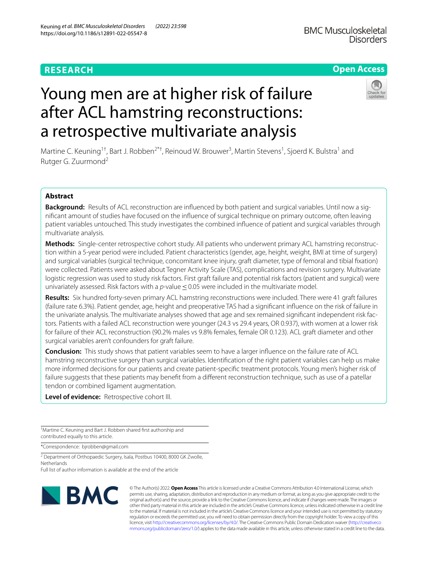## **RESEARCH**

## **Open Access**

# Young men are at higher risk of failure after ACL hamstring reconstructions: a retrospective multivariate analysis



Martine C. Keuning<sup>1†</sup>, Bart J. Robben<sup>2\*†</sup>, Reinoud W. Brouwer<sup>3</sup>, Martin Stevens<sup>1</sup>, Sjoerd K. Bulstra<sup>1</sup> and Rutger G. Zuurmond2

## **Abstract**

**Background:** Results of ACL reconstruction are infuenced by both patient and surgical variables. Until now a signifcant amount of studies have focused on the infuence of surgical technique on primary outcome, often leaving patient variables untouched. This study investigates the combined infuence of patient and surgical variables through multivariate analysis.

**Methods:** Single-center retrospective cohort study. All patients who underwent primary ACL hamstring reconstruction within a 5-year period were included. Patient characteristics (gender, age, height, weight, BMI at time of surgery) and surgical variables (surgical technique, concomitant knee injury, graft diameter, type of femoral and tibial fxation) were collected. Patients were asked about Tegner Activity Scale (TAS), complications and revision surgery. Multivariate logistic regression was used to study risk factors. First graft failure and potential risk factors (patient and surgical) were univariately assessed. Risk factors with a *p*-value≤0.05 were included in the multivariate model.

**Results:** Six hundred forty-seven primary ACL hamstring reconstructions were included. There were 41 graft failures (failure rate 6.3%). Patient gender, age, height and preoperative TAS had a signifcant infuence on the risk of failure in the univariate analysis. The multivariate analyses showed that age and sex remained signifcant independent risk factors. Patients with a failed ACL reconstruction were younger (24.3 vs 29.4 years, OR 0.937), with women at a lower risk for failure of their ACL reconstruction (90.2% males vs 9.8% females, female OR 0.123). ACL graft diameter and other surgical variables aren't confounders for graft failure.

**Conclusion:** This study shows that patient variables seem to have a larger infuence on the failure rate of ACL hamstring reconstructive surgery than surgical variables. Identifcation of the right patient variables can help us make more informed decisions for our patients and create patient-specifc treatment protocols. Young men's higher risk of failure suggests that these patients may benefit from a different reconstruction technique, such as use of a patellar tendon or combined ligament augmentation.

**Level of evidence:** Retrospective cohort III.

† Martine C. Keuning and Bart J. Robben shared frst authorship and contributed equally to this article.

\*Correspondence: bjrobben@gmail.com

<sup>2</sup> Department of Orthopaedic Surgery, Isala, Postbus 10400, 8000 GK Zwolle, **Netherlands** 

Full list of author information is available at the end of the article



© The Author(s) 2022. **Open Access** This article is licensed under a Creative Commons Attribution 4.0 International License, which permits use, sharing, adaptation, distribution and reproduction in any medium or format, as long as you give appropriate credit to the original author(s) and the source, provide a link to the Creative Commons licence, and indicate if changes were made. The images or other third party material in this article are included in the article's Creative Commons licence, unless indicated otherwise in a credit line to the material. If material is not included in the article's Creative Commons licence and your intended use is not permitted by statutory regulation or exceeds the permitted use, you will need to obtain permission directly from the copyright holder. To view a copy of this licence, visit [http://creativecommons.org/licenses/by/4.0/.](http://creativecommons.org/licenses/by/4.0/) The Creative Commons Public Domain Dedication waiver ([http://creativeco](http://creativecommons.org/publicdomain/zero/1.0/) [mmons.org/publicdomain/zero/1.0/](http://creativecommons.org/publicdomain/zero/1.0/)) applies to the data made available in this article, unless otherwise stated in a credit line to the data.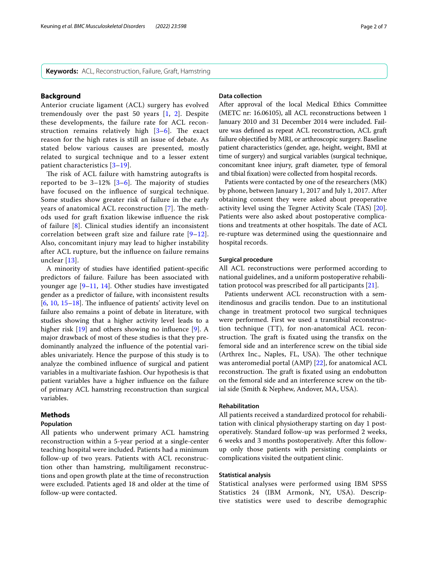## **Background**

Anterior cruciate ligament (ACL) surgery has evolved tremendously over the past 50 years [[1](#page-5-0), [2\]](#page-5-1). Despite these developments, the failure rate for ACL reconstruction remains relatively high  $[3-6]$  $[3-6]$  $[3-6]$ . The exact reason for the high rates is still an issue of debate. As stated below various causes are presented, mostly related to surgical technique and to a lesser extent patient characteristics [[3](#page-5-2)–[19](#page-6-0)].

The risk of ACL failure with hamstring autografts is reported to be  $3-12\%$  [ $3-6$ ]. The majority of studies have focused on the infuence of surgical technique. Some studies show greater risk of failure in the early years of anatomical ACL reconstruction [[7](#page-5-4)]. The methods used for graft fxation likewise infuence the risk of failure [[8\]](#page-5-5). Clinical studies identify an inconsistent correlation between graft size and failure rate  $[9-12]$  $[9-12]$ . Also, concomitant injury may lead to higher instability after ACL rupture, but the infuence on failure remains unclear [[13](#page-5-8)].

A minority of studies have identifed patient-specifc predictors of failure. Failure has been associated with younger age [[9–](#page-5-6)[11,](#page-5-9) [14](#page-5-10)]. Other studies have investigated gender as a predictor of failure, with inconsistent results  $[6, 10, 15-18]$  $[6, 10, 15-18]$  $[6, 10, 15-18]$  $[6, 10, 15-18]$  $[6, 10, 15-18]$  $[6, 10, 15-18]$  $[6, 10, 15-18]$ . The influence of patients' activity level on failure also remains a point of debate in literature, with studies showing that a higher activity level leads to a higher risk [[19](#page-6-0)] and others showing no influence [[9\]](#page-5-6). A major drawback of most of these studies is that they predominantly analyzed the infuence of the potential variables univariately. Hence the purpose of this study is to analyze the combined infuence of surgical and patient variables in a multivariate fashion. Our hypothesis is that patient variables have a higher infuence on the failure of primary ACL hamstring reconstruction than surgical variables.

## **Methods**

## **Population**

All patients who underwent primary ACL hamstring reconstruction within a 5-year period at a single-center teaching hospital were included. Patients had a minimum follow-up of two years. Patients with ACL reconstruction other than hamstring, multiligament reconstructions and open growth plate at the time of reconstruction were excluded. Patients aged 18 and older at the time of follow-up were contacted.

## **Data collection**

After approval of the local Medical Ethics Committee (METC nr: 16.06105), all ACL reconstructions between 1 January 2010 and 31 December 2014 were included. Failure was defned as repeat ACL reconstruction, ACL graft failure objectifed by MRI, or arthroscopic surgery. Baseline patient characteristics (gender, age, height, weight, BMI at time of surgery) and surgical variables (surgical technique, concomitant knee injury, graft diameter, type of femoral and tibial fxation) were collected from hospital records.

Patients were contacted by one of the researchers (MK) by phone, between January 1, 2017 and July 1, 2017. After obtaining consent they were asked about preoperative activity level using the Tegner Activity Scale (TAS) [\[20](#page-6-3)]. Patients were also asked about postoperative complications and treatments at other hospitals. The date of ACL re-rupture was determined using the questionnaire and hospital records.

## **Surgical procedure**

All ACL reconstructions were performed according to national guidelines, and a uniform postoperative rehabilitation protocol was prescribed for all participants [\[21\]](#page-6-4).

Patients underwent ACL reconstruction with a semitendinosus and gracilis tendon. Due to an institutional change in treatment protocol two surgical techniques were performed. First we used a transtibial reconstruction technique (TT), for non-anatomical ACL reconstruction. The graft is fixated using the transfix on the femoral side and an interference screw on the tibial side (Arthrex Inc., Naples, FL, USA). The other technique was anteromedial portal (AMP) [\[22\]](#page-6-5), for anatomical ACL reconstruction. The graft is fixated using an endobutton on the femoral side and an interference screw on the tibial side (Smith & Nephew, Andover, MA, USA).

#### **Rehabilitation**

All patients received a standardized protocol for rehabilitation with clinical physiotherapy starting on day 1 postoperatively. Standard follow-up was performed 2 weeks, 6 weeks and 3 months postoperatively. After this followup only those patients with persisting complaints or complications visited the outpatient clinic.

## **Statistical analysis**

Statistical analyses were performed using IBM SPSS Statistics 24 (IBM Armonk, NY, USA). Descriptive statistics were used to describe demographic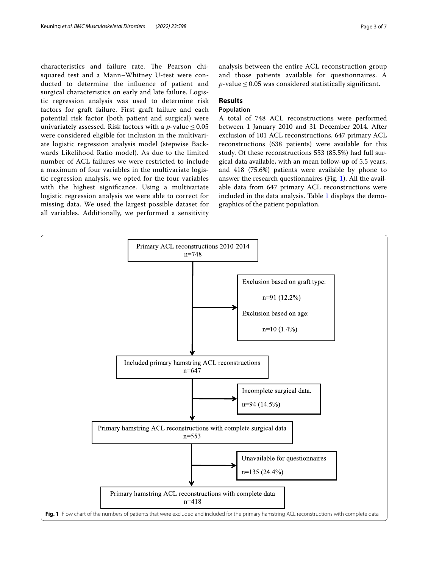characteristics and failure rate. The Pearson chisquared test and a Mann–Whitney U-test were conducted to determine the infuence of patient and surgical characteristics on early and late failure. Logistic regression analysis was used to determine risk factors for graft failure. First graft failure and each potential risk factor (both patient and surgical) were univariately assessed. Risk factors with a  $p$ -value  $\leq 0.05$ were considered eligible for inclusion in the multivariate logistic regression analysis model (stepwise Backwards Likelihood Ratio model). As due to the limited number of ACL failures we were restricted to include a maximum of four variables in the multivariate logistic regression analysis, we opted for the four variables with the highest signifcance. Using a multivariate logistic regression analysis we were able to correct for missing data. We used the largest possible dataset for all variables. Additionally, we performed a sensitivity analysis between the entire ACL reconstruction group and those patients available for questionnaires. A *p*-value  $\leq$  0.05 was considered statistically significant.

## **Results**

## **Population**

A total of 748 ACL reconstructions were performed between 1 January 2010 and 31 December 2014. After exclusion of 101 ACL reconstructions, 647 primary ACL reconstructions (638 patients) were available for this study. Of these reconstructions 553 (85.5%) had full surgical data available, with an mean follow-up of 5.5 years, and 418 (75.6%) patients were available by phone to answer the research questionnaires (Fig. [1\)](#page-2-0). All the available data from 647 primary ACL reconstructions were included in the data analysis. Table [1](#page-3-0) displays the demographics of the patient population.

<span id="page-2-0"></span>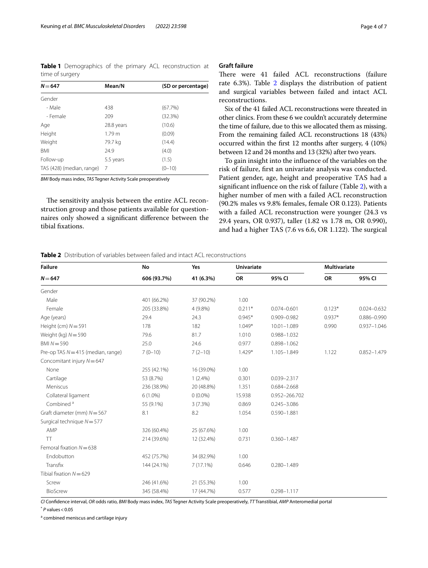<span id="page-3-0"></span>**Table 1** Demographics of the primary ACL reconstruction at time of surgery

| $N = 647$                 | Mean/N            | (SD or percentage) |
|---------------------------|-------------------|--------------------|
| Gender                    |                   |                    |
| - Male                    | 438               | (67.7%)            |
| - Female                  | 209               | (32.3%)            |
| Age                       | 28.8 years        | (10.6)             |
| Height                    | 1.79 <sub>m</sub> | (0.09)             |
| Weight                    | 79.7 kg           | (14.4)             |
| <b>BMI</b>                | 24.9              | (4.0)              |
| Follow-up                 | 5.5 years         | (1.5)              |
| TAS (428) (median, range) | -7                | $(0-10)$           |
|                           |                   |                    |

*BMI* Body mass index, *TAS* Tegner Activity Scale preoperatively

The sensitivity analysis between the entire ACL reconstruction group and those patients available for questionnaires only showed a signifcant diference between the tibial fxations.

## **Graft failure**

There were 41 failed ACL reconstructions (failure rate 6.3%). Table [2](#page-3-1) displays the distribution of patient and surgical variables between failed and intact ACL reconstructions.

Six of the 41 failed ACL reconstructions were threated in other clinics. From these 6 we couldn't accurately determine the time of failure, due to this we allocated them as missing. From the remaining failed ACL reconstructions 18 (43%) occurred within the frst 12 months after surgery, 4 (10%) between 12 and 24 months and 13 (32%) after two years.

To gain insight into the infuence of the variables on the risk of failure, frst an univariate analysis was conducted. Patient gender, age, height and preoperative TAS had a signifcant infuence on the risk of failure (Table [2\)](#page-3-1), with a higher number of men with a failed ACL reconstruction (90.2% males vs 9.8% females, female OR 0.123). Patients with a failed ACL reconstruction were younger (24.3 vs 29.4 years, OR 0.937), taller (1.82 vs 1.78 m, OR 0.990), and had a higher TAS  $(7.6 \text{ vs } 6.6, \text{ OR } 1.122)$ . The surgical

<span id="page-3-1"></span>**Table 2** Distribution of variables between failed and intact ACL reconstructions

| <b>Failure</b><br>$N = 647$          | No<br>606 (93.7%) | Yes<br>41 (6.3%) | <b>Univariate</b> |                 | <b>Multivariate</b> |                 |
|--------------------------------------|-------------------|------------------|-------------------|-----------------|---------------------|-----------------|
|                                      |                   |                  | OR                | 95% CI          | OR                  | 95% CI          |
| Gender                               |                   |                  |                   |                 |                     |                 |
| Male                                 | 401 (66.2%)       | 37 (90.2%)       | 1.00              |                 |                     |                 |
| Female                               | 205 (33.8%)       | 4 (9.8%)         | $0.211*$          | $0.074 - 0.601$ | $0.123*$            | $0.024 - 0.632$ |
| Age (years)                          | 29.4              | 24.3             | $0.945*$          | 0.909-0.982     | $0.937*$            | $0.886 - 0.990$ |
| Height (cm) $N = 591$                | 178               | 182              | $1.049*$          | $10.01 - 1.089$ | 0.990               | $0.937 - 1.046$ |
| Weight (kg) $N = 590$                | 79.6              | 81.7             | 1.010             | 0.988-1.032     |                     |                 |
| $BMN = 590$                          | 25.0              | 24.6             | 0.977             | $0.898 - 1.062$ |                     |                 |
| Pre-op TAS $N = 415$ (median, range) | $7(0-10)$         | $7(2-10)$        | $1.429*$          | $1.105 - 1.849$ | 1.122               | $0.852 - 1.479$ |
| Concomitant injury N=647             |                   |                  |                   |                 |                     |                 |
| None                                 | 255 (42.1%)       | 16 (39.0%)       | 1.00              |                 |                     |                 |
| Cartilage                            | 53 (8.7%)         | $1(2.4\%)$       | 0.301             | 0.039-2.317     |                     |                 |
| Meniscus                             | 236 (38.9%)       | 20 (48.8%)       | 1.351             | $0.684 - 2.668$ |                     |                 |
| Collateral ligament                  | $6(1.0\%)$        | $0(0.0\%)$       | 15.938            | 0.952-266.702   |                     |                 |
| Combined <sup>a</sup>                | 55 (9.1%)         | 3(7.3%)          | 0.869             | $0.245 - 3.086$ |                     |                 |
| Graft diameter (mm) $N = 567$        | 8.1               | 8.2              | 1.054             | $0.590 - 1.881$ |                     |                 |
| Surgical technique $N = 577$         |                   |                  |                   |                 |                     |                 |
| AMP                                  | 326 (60.4%)       | 25 (67.6%)       | 1.00              |                 |                     |                 |
| <b>TT</b>                            | 214 (39.6%)       | 12 (32.4%)       | 0.731             | $0.360 - 1.487$ |                     |                 |
| Femoral fixation $N = 638$           |                   |                  |                   |                 |                     |                 |
| Endobutton                           | 452 (75.7%)       | 34 (82.9%)       | 1.00              |                 |                     |                 |
| Transfix                             | 144 (24.1%)       | 7(17.1%)         | 0.646             | $0.280 - 1.489$ |                     |                 |
| Tibial fixation $N = 629$            |                   |                  |                   |                 |                     |                 |
| Screw                                | 246 (41.6%)       | 21 (55.3%)       | 1.00              |                 |                     |                 |
| BioScrew                             | 345 (58.4%)       | 17 (44.7%)       | 0.577             | $0.298 - 1.117$ |                     |                 |

*CI* Confdence interval, *OR* odds ratio, *BMI* Body mass index, *TAS* Tegner Activity Scale preoperatively, *TT* Transtibial, *AMP* Anteromedial portal

\* *P* values<0.05

<sup>a</sup> combined meniscus and cartilage injury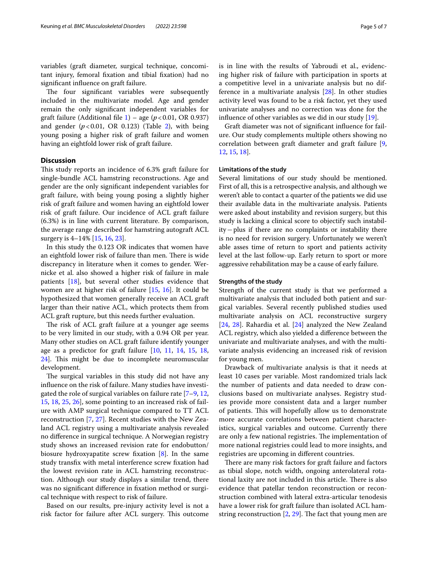variables (graft diameter, surgical technique, concomitant injury, femoral fxation and tibial fxation) had no signifcant infuence on graft failure.

The four significant variables were subsequently included in the multivariate model. Age and gender remain the only signifcant independent variables for graft failure (Additional file  $1$ ) – age ( $p$  < 0.01, OR 0.937) and gender  $(p<0.01, \text{ OR } 0.123)$  $(p<0.01, \text{ OR } 0.123)$  $(p<0.01, \text{ OR } 0.123)$  (Table 2), with being young posing a higher risk of graft failure and women having an eightfold lower risk of graft failure.

## **Discussion**

This study reports an incidence of 6.3% graft failure for single-bundle ACL hamstring reconstructions. Age and gender are the only signifcant independent variables for graft failure, with being young posing a slightly higher risk of graft failure and women having an eightfold lower risk of graft failure. Our incidence of ACL graft failure (6.3%) is in line with current literature. By comparison, the average range described for hamstring autograft ACL surgery is 4–14% [\[15](#page-6-1), [16,](#page-6-6) [23\]](#page-6-7).

In this study the 0.123 OR indicates that women have an eightfold lower risk of failure than men. There is wide discrepancy in literature when it comes to gender. Wernicke et al. also showed a higher risk of failure in male patients [[18\]](#page-6-2), but several other studies evidence that women are at higher risk of failure [[15](#page-6-1), [16\]](#page-6-6). It could be hypothesized that women generally receive an ACL graft larger than their native ACL, which protects them from ACL graft rupture, but this needs further evaluation.

The risk of ACL graft failure at a younger age seems to be very limited in our study, with a 0.94 OR per year. Many other studies on ACL graft failure identify younger age as a predictor for graft failure [[10](#page-5-11), [11,](#page-5-9) [14](#page-5-10), [15,](#page-6-1) [18](#page-6-2), [24\]](#page-6-8). This might be due to incomplete neuromuscular development.

The surgical variables in this study did not have any infuence on the risk of failure. Many studies have investigated the role of surgical variables on failure rate [\[7](#page-5-4)[–9](#page-5-6), [12](#page-5-7), [15,](#page-6-1) [18](#page-6-2), [25,](#page-6-9) [26\]](#page-6-10), some pointing to an increased risk of failure with AMP surgical technique compared to TT ACL reconstruction [\[7,](#page-5-4) [27\]](#page-6-11). Recent studies with the New Zealand ACL registry using a multivariate analysis revealed no diference in surgical technique. A Norwegian registry study shows an increased revision rate for endobutton/ biosure hydroxyapatite screw fxation [[8\]](#page-5-5). In the same study transfx with metal interference screw fxation had the lowest revision rate in ACL hamstring reconstruction. Although our study displays a similar trend, there was no signifcant diference in fxation method or surgical technique with respect to risk of failure.

Based on our results, pre-injury activity level is not a risk factor for failure after ACL surgery. This outcome is in line with the results of Yabroudi et al., evidencing higher risk of failure with participation in sports at a competitive level in a univariate analysis but no difference in a multivariate analysis [[28\]](#page-6-12). In other studies activity level was found to be a risk factor, yet they used univariate analyses and no correction was done for the infuence of other variables as we did in our study [[19\]](#page-6-0).

Graft diameter was not of signifcant infuence for failure. Our study complements multiple others showing no correlation between graft diameter and graft failure [\[9](#page-5-6), [12,](#page-5-7) [15,](#page-6-1) [18](#page-6-2)].

#### **Limitations of the study**

Several limitations of our study should be mentioned. First of all, this is a retrospective analysis, and although we weren't able to contact a quarter of the patients we did use their available data in the multivariate analysis. Patients were asked about instability and revision surgery, but this study is lacking a clinical score to objectify such instability−plus if there are no complaints or instability there is no need for revision surgery. Unfortunately we weren't able asses time of return to sport and patients activity level at the last follow-up. Early return to sport or more aggressive rehabilitation may be a cause of early failure.

#### **Strengths of the study**

Strength of the current study is that we performed a multivariate analysis that included both patient and surgical variables. Several recently published studies used multivariate analysis on ACL reconstructive surgery [[24,](#page-6-8) [28](#page-6-12)]. Rahardia et al. [[24\]](#page-6-8) analyzed the New Zealand ACL registry, which also yielded a diference between the univariate and multivariate analyses, and with the multivariate analysis evidencing an increased risk of revision for young men.

Drawback of multivariate analysis is that it needs at least 10 cases per variable. Most randomized trials lack the number of patients and data needed to draw conclusions based on multivariate analyses. Registry studies provide more consistent data and a larger number of patients. This will hopefully allow us to demonstrate more accurate correlations between patient characteristics, surgical variables and outcome. Currently there are only a few national registries. The implementation of more national registries could lead to more insights, and registries are upcoming in diferent countries.

There are many risk factors for graft failure and factors as tibial slope, notch width, ongoing anterolateral rotational laxity are not included in this article. There is also evidence that patellar tendon reconstruction or reconstruction combined with lateral extra-articular tenodesis have a lower risk for graft failure than isolated ACL hamstring reconstruction  $[2, 29]$  $[2, 29]$  $[2, 29]$  $[2, 29]$ . The fact that young men are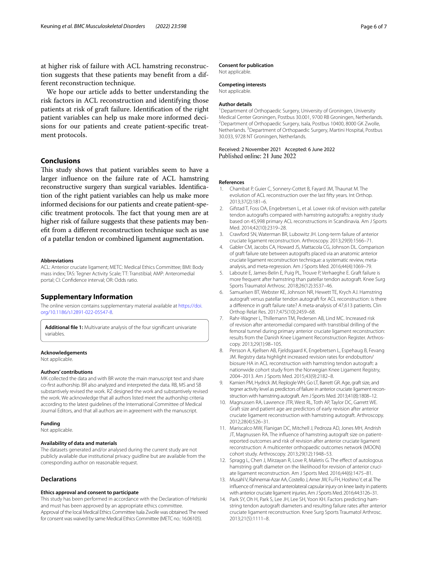at higher risk of failure with ACL hamstring reconstruction suggests that these patients may beneft from a different reconstruction technique.

We hope our article adds to better understanding the risk factors in ACL reconstruction and identifying those patients at risk of graft failure. Identifcation of the right patient variables can help us make more informed decisions for our patients and create patient-specifc treatment protocols.

## **Conclusions**

This study shows that patient variables seem to have a larger infuence on the failure rate of ACL hamstring reconstructive surgery than surgical variables. Identifcation of the right patient variables can help us make more informed decisions for our patients and create patient-specific treatment protocols. The fact that young men are at higher risk of failure suggests that these patients may beneft from a diferent reconstruction technique such as use of a patellar tendon or combined ligament augmentation.

#### **Abbreviations**

ACL: Anterior cruciate ligament; METC: Medical Ethics Committee; BMI: Body mass index; TAS: Tegner Activity Scale; TT: Transtibial; AMP: Anteromedial portal; CI: Confdence interval; OR: Odds ratio.

## **Supplementary Information**

The online version contains supplementary material available at [https://doi.](https://doi.org/10.1186/s12891-022-05547-8) [org/10.1186/s12891-022-05547-8](https://doi.org/10.1186/s12891-022-05547-8).

<span id="page-5-12"></span>**Additional fle 1:** Multivariate analysis of the four signifcant univariate variables.

#### **Acknowledgements**

Not applicable.

#### **Authors' contributions**

MK collected the data and with BR wrote the main manuscript text and share co-frst authorship. BR also analyzed and interpreted the data. RB, MS and SB substantively revised the work. RZ designed the work and substantively revised the work. We acknowledge that all authors listed meet the authorship criteria according to the latest guidelines of the International Committee of Medical Journal Editors, and that all authors are in agreement with the manuscript.

#### **Funding**

Not applicable.

#### **Availability of data and materials**

The datasets generated and/or analysed during the current study are not publicly available due institutional privacy guidline but are available from the corresponding author on reasonable request.

#### **Declarations**

#### **Ethics approval and consent to participate**

This study has been performed in accordance with the Declaration of Helsinki and must has been approved by an appropriate ethics committee. Approval of the local Medical Ethics Committee Isala Zwolle was obtained. The need for consent was waived by same Medical Ethics Committee (METC no.: 16.06105).

#### **Consent for publication**

Not applicable.

## **Competing interests**

Not applicable.

#### **Author details**

<sup>1</sup> Department of Orthopaedic Surgery, University of Groningen, University Medical Center Groningen, Postbus 30.001, 9700 RB Groningen, Netherlands. 2 <sup>2</sup> Department of Orthopaedic Surgery, Isala, Postbus 10400, 8000 GK Zwolle, Netherlands.<sup>3</sup> Department of Orthopaedic Surgery, Martini Hospital, Postbus 30.033, 9728 NT Groningen, Netherlands.

# Received: 2 November 2021 Accepted: 6 June 2022

#### **References**

- <span id="page-5-0"></span>1. Chambat P, Guier C, Sonnery-Cottet B, Fayard JM, Thaunat M. The evolution of ACL reconstruction over the last ffty years. Int Orthop. 2013;37(2):181–6.
- <span id="page-5-1"></span>Gifstad T, Foss OA, Engebretsen L, et al. Lower risk of revision with patellar tendon autografts compared with hamstring autografts: a registry study based on 45,998 primary ACL reconstructions in Scandinavia. Am J Sports Med. 2014;42(10):2319–28.
- <span id="page-5-2"></span>3. Crawford SN, Waterman BR, Lubowitz JH. Long-term failure of anterior cruciate ligament reconstruction. Arthroscopy. 2013;29(9):1566–71.
- 4. Gabler CM, Jacobs CA, Howard JS, Mattacola CG, Johnson DL. Comparison of graft failure rate between autografts placed via an anatomic anterior cruciate ligament reconstruction technique: a systematic review, metaanalysis, and meta-regression. Am J Sports Med. 2016;44(4):1069–79.
- 5. Laboute E, James-Belin E, Puig PL, Trouve P, Verhaeghe E. Graft failure is more frequent after hamstring than patellar tendon autograft. Knee Surg Sports Traumatol Arthrosc. 2018;26(12):3537–46.
- <span id="page-5-3"></span>6. Samuelsen BT, Webster KE, Johnson NR, Hewett TE, Krych AJ. Hamstring autograft versus patellar tendon autograft for ACL reconstruction: is there a diference in graft failure rate? A meta-analysis of 47,613 patients. Clin Orthop Relat Res. 2017;475(10):2459–68.
- <span id="page-5-4"></span>7. Rahr-Wagner L, Thillemann TM, Pedersen AB, Lind MC. Increased risk of revision after anteromedial compared with transtibial drilling of the femoral tunnel during primary anterior cruciate ligament reconstruction: results from the Danish Knee Ligament Reconstruction Register. Arthroscopy. 2013;29(1):98–105.
- <span id="page-5-5"></span>8. Persson A, Kjellsen AB, Fjeldsgaard K, Engebretsen L, Espehaug B, Fevang JM. Registry data highlight increased revision rates for endobutton/ biosure HA in ACL reconstruction with hamstring tendon autograft: a nationwide cohort study from the Norwegian Knee Ligament Registry, 2004–2013. Am J Sports Med. 2015;43(9):2182–8.
- <span id="page-5-6"></span>9. Kamien PM, Hydrick JM, Replogle WH, Go LT, Barrett GR. Age, graft size, and tegner activity level as predictors of failure in anterior cruciate ligament reconstruction with hamstring autograft. Am J Sports Med. 2013;41(8):1808–12.
- <span id="page-5-11"></span>10. Magnussen RA, Lawrence JTR, West RL, Toth AP, Taylor DC, Garrett WE. Graft size and patient age are predictors of early revision after anterior cruciate ligament reconstruction with hamstring autograft. Arthroscopy. 2012;28(4):526–31.
- <span id="page-5-9"></span>11. Mariscalco MW, Flanigan DC, Mitchell J, Pedroza AD, Jones MH, Andrish JT, Magnussen RA. The infuence of hamstring autograft size on patientreported outcomes and risk of revision after anterior cruciate ligament reconstruction: A multicenter orthopaedic outcomes network (MOON) cohort study. Arthroscopy. 2013;29(12):1948–53.
- <span id="page-5-7"></span>12. Spragg L, Chen J, Mirzayan R, Love R, Maletis G. The effect of autologous hamstring graft diameter on the likelihood for revision of anterior cruciate ligament reconstruction. Am J Sports Med. 2016;44(6):1475–81.
- <span id="page-5-8"></span>13. Musahl V, Rahnemai-Azar AA, Costello J, Arner JW, Fu FH, Hoshino Y, et al. The infuence of meniscal and anterolateral capsular injury on knee laxity in patients with anterior cruciate ligament injuries. Am J Sports Med. 2016;44:3126–31.
- <span id="page-5-10"></span>14. Park SY, Oh H, Park S, Lee JH, Lee SH, Yoon KH. Factors predicting hamstring tendon autograft diameters and resulting failure rates after anterior cruciate ligament reconstruction. Knee Surg Sports Traumatol Arthrosc. 2013;21(5):1111–8.